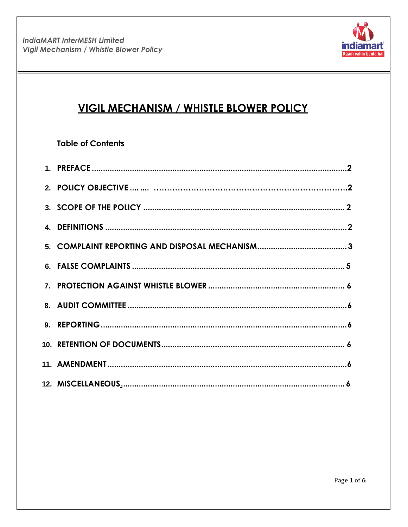

# **VIGIL MECHANISM / WHISTLE BLOWER POLICY**

## **Table of Contents**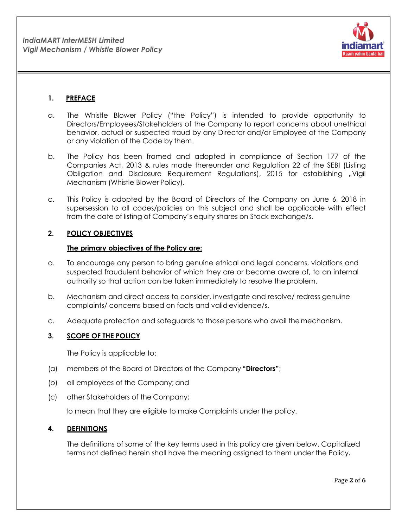

## <span id="page-1-0"></span>**1. PREFACE**

- a. The Whistle Blower Policy ("the Policy") is intended to provide opportunity to Directors/Employees/Stakeholders of the Company to report concerns about unethical behavior, actual or suspected fraud by any Director and/or Employee of the Company or any violation of the Code by them.
- b. The Policy has been framed and adopted in compliance of Section 177 of the Companies Act, 2013 & rules made thereunder and Regulation 22 of the SEBI (Listing Obligation and Disclosure Requirement Regulations), 2015 for establishing ".Vigil Mechanism (Whistle Blower Policy).
- c. This Policy is adopted by the Board of Directors of the Company on June 6, 2018 in supersession to all codes/policies on this subject and shall be applicable with effect from the date of listing of Company's equity shares on Stock exchange/s.

## **2. POLICY OBJECTIVES**

## **The primary objectives of the Policy are:**

- a. To encourage any person to bring genuine ethical and legal concerns, violations and suspected fraudulent behavior of which they are or become aware of, to an internal authority so that action can be taken immediately to resolve theproblem.
- b. Mechanism and direct access to consider, investigate and resolve/ redress genuine complaints/ concerns based on facts and valid evidence/s.
- c. Adequate protection and safeguards to those persons who avail themechanism.

## <span id="page-1-1"></span>**3. SCOPE OF THE POLICY**

The Policy is applicable to:

- (a) members of the Board of Directors of the Company **"Directors"**;
- (b) all employees of the Company; and
- (c) other Stakeholders of the Company;

to mean that they are eligible to make Complaints under the policy.

## <span id="page-1-2"></span>**4. DEFINITIONS**

The definitions of some of the key terms used in this policy are given below. Capitalized terms not defined herein shall have the meaning assigned to them under the Policy**.**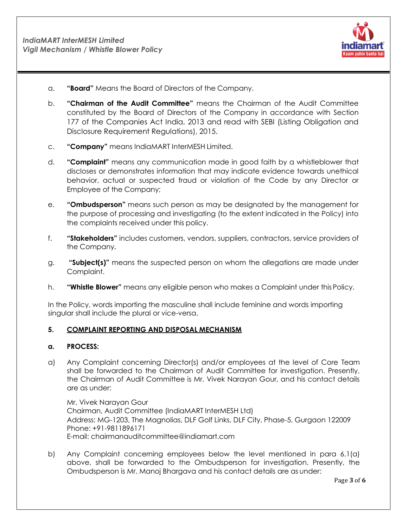

- a. **"Board"** Means the Board of Directors of the Company.
- b. **"Chairman of the Audit Committee"** means the Chairman of the Audit Committee constituted by the Board of Directors of the Company in accordance with Section 177 of the Companies Act India, 2013 and read with SEBI (Listing Obligation and Disclosure Requirement Regulations), 2015.
- c. **"Company"** means IndiaMART InterMESH Limited.
- d. **"Complaint"** means any communication made in good faith by a whistleblower that discloses or demonstrates information that may indicate evidence towards unethical behavior, actual or suspected fraud or violation of the Code by any Director or Employee of the Company;
- e. **"Ombudsperson"** means such person as may be designated by the management for the purpose of processing and investigating (to the extent indicated in the Policy) into the complaints received under this policy.
- f. **"Stakeholders"** includes customers, vendors, suppliers, contractors, service providers of the Company.
- g. **"Subject(s)"** means the suspected person on whom the allegations are made under Complaint.
- h. **"Whistle Blower"** means any eligible person who makes a Complaint under thisPolicy.

In the Policy, words importing the masculine shall include feminine and words importing singular shall include the plural or vice-versa.

#### <span id="page-2-0"></span>**5. COMPLAINT REPORTING AND DISPOSAL MECHANISM**

#### **a. PROCESS:**

a) Any Complaint concerning Director(s) and/or employees at the level of Core Team shall be forwarded to the Chairman of Audit Committee for investigation. Presently, the Chairman of Audit Committee is Mr. Vivek Narayan Gour, and his contact details are as under:

Mr. Vivek Narayan Gour Chairman, Audit Committee (IndiaMART InterMESH Ltd) Address: MG-1203, The Magnolias, DLF Golf Links, DLF City, Phase-5, Gurgaon 122009 Phone: +91-9811896171 E-mail: [chairmanauditcommittee@indiamart.com](mailto:chairmanauditcommittee@indiamart.com)

b) Any Complaint concerning employees below the level mentioned in para 6.1(a) above, shall be forwarded to the Ombudsperson for investigation. Presently, the Ombudsperson is Mr. Manoj Bhargava and his contact details are as under: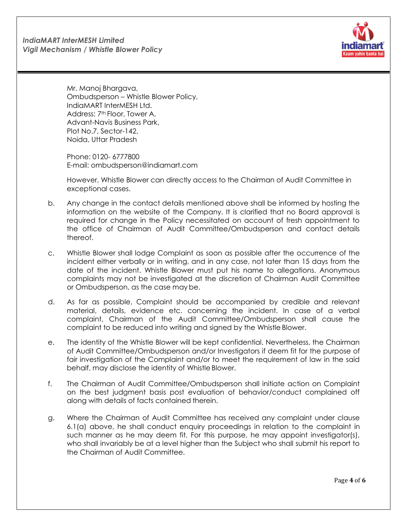

Mr. Manoj Bhargava, Ombudsperson – Whistle Blower Policy, IndiaMART InterMESH Ltd. Address: 7<sup>th</sup> Floor, Tower A, Advant-Navis Business Park, Plot No.7, Sector-142, Noida, Uttar Pradesh

Phone: 0120- 6777800 E-mail: [ombudsperson@indiamart.com](mailto:ombudsperson@indiamart.com)

However, Whistle Blower can directly access to the Chairman of Audit Committee in exceptional cases.

- b. Any change in the contact details mentioned above shall be informed by hosting the information on the website of the Company. It is clarified that no Board approval is required for change in the Policy necessitated on account of fresh appointment to the office of Chairman of Audit Committee/Ombudsperson and contact details thereof.
- c. Whistle Blower shall lodge Complaint as soon as possible after the occurrence of the incident either verbally or in writing, and in any case, not later than 15 days from the date of the incident. Whistle Blower must put his name to allegations. Anonymous complaints may not be investigated at the discretion of Chairman Audit Committee or Ombudsperson, as the case may be.
- d. As far as possible, Complaint should be accompanied by credible and relevant material, details, evidence etc. concerning the incident. In case of a verbal complaint, Chairman of the Audit Committee/Ombudsperson shall cause the complaint to be reduced into writing and signed by the Whistle Blower.
- e. The identity of the Whistle Blower will be kept confidential. Nevertheless, the Chairman of Audit Committee/Ombudsperson and/or Investigators if deem fit for the purpose of fair investigation of the Complaint and/or to meet the requirement of law in the said behalf, may disclose the identity of Whistle Blower.
- f. The Chairman of Audit Committee/Ombudsperson shall initiate action on Complaint on the best judgment basis post evaluation of behavior/conduct complained off along with details of facts contained therein.
- g. Where the Chairman of Audit Committee has received any complaint under clause 6.1(a) above, he shall conduct enquiry proceedings in relation to the complaint in such manner as he may deem fit. For this purpose, he may appoint investigator(s), who shall invariably be at a level higher than the Subject who shall submit his report to the Chairman of Audit Committee.

Page **4** of **6**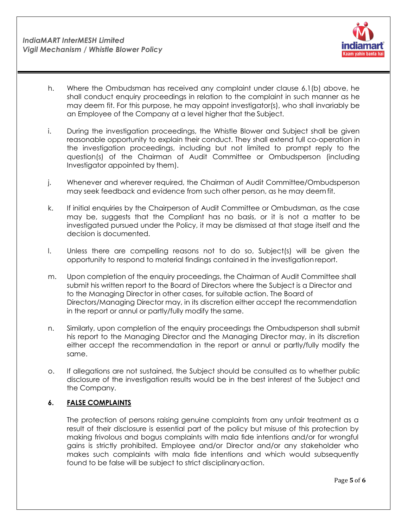

- h. Where the Ombudsman has received any complaint under clause 6.1(b) above, he shall conduct enquiry proceedings in relation to the complaint in such manner as he may deem fit. For this purpose, he may appoint investigator(s), who shall invariably be an Employee of the Company at a level higher that the Subject.
- i. During the investigation proceedings, the Whistle Blower and Subject shall be given reasonable opportunity to explain their conduct. They shall extend full co-operation in the investigation proceedings, including but not limited to prompt reply to the question(s) of the Chairman of Audit Committee or Ombudsperson (including Investigator appointed by them).
- j. Whenever and wherever required, the Chairman of Audit Committee/Ombudsperson may seek feedback and evidence from such other person, as he may deemfit.
- k. If initial enquiries by the Chairperson of Audit Committee or Ombudsman, as the case may be, suggests that the Compliant has no basis, or it is not a matter to be investigated pursued under the Policy, it may be dismissed at that stage itself and the decision is documented.
- l. Unless there are compelling reasons not to do so, Subject(s) will be given the opportunity to respond to material findings contained in the investigation report.
- m. Upon completion of the enquiry proceedings, the Chairman of Audit Committee shall submit his written report to the Board of Directors where the Subject is a Director and to the Managing Director in other cases, for suitable action. The Board of Directors/Managing Director may, in its discretion either accept the recommendation in the report or annul or partly/fully modify the same.
- n. Similarly, upon completion of the enquiry proceedings the Ombudsperson shall submit his report to the Managing Director and the Managing Director may, in its discretion either accept the recommendation in the report or annul or partly/fully modify the same.
- o. If allegations are not sustained, the Subject should be consulted as to whether public disclosure of the investigation results would be in the best interest of the Subject and the Company.

## <span id="page-4-0"></span>**6. FALSE COMPLAINTS**

The protection of persons raising genuine complaints from any unfair treatment as a result of their disclosure is essential part of the policy but misuse of this protection by making frivolous and bogus complaints with mala fide intentions and/or for wrongful gains is strictly prohibited. Employee and/or Director and/or any stakeholder who makes such complaints with mala fide intentions and which would subsequently found to be false will be subject to strict disciplinaryaction.